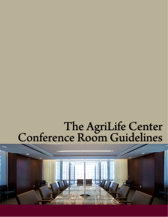# The AgriLife Center<br>Conference Room Guidelines

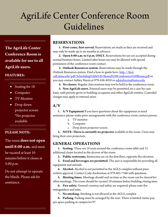# AgriLife Center Conference Room Guidelines

**The AgriLife Center Conference Room is available for use to all AgriLife users.**

#### **FEATURES:**

- Seating for 18
- Computer
- TV Monitor
- Drop down projector screen \*No projector available

#### **PLEASE NOTE:**

The room **does not open until 8:00 a.m.** and must be vacated at least 10 minutes before it closes at 5:00 p.m.

Do not attempt to operate the blinds. Please ask for assistance.

# **RESERVATIONS**

**1. First-come, first-served.** Reservations are made as they are received and may only be made up to six months in advance.

**2. Open 8:00 a.m. to 5 p.m. ONLY.** Reservations for use are accepted during normal business hours. Limited after hours use may be allowed with special permission of the conference room contact.

**3. Outlook Resources system.** Reservations may be made through the Outlook Resources system. Find a how-to guide here[: http://first](http://first-call.tamu.edu/pdf/Scheduling%20a%20%20Shared%20Conference%20Room.pdf)[call.tamu.edu/pdf/Scheduling%20a%20 Shared%20Conference%20Room.pdf](http://first-call.tamu.edu/pdf/Scheduling%20a%20%20Shared%20Conference%20Room.pdf) or you may contact Ashley Harris at 979-458-4910 o[r ashleyharris@tamu.edu.](mailto:ashleyharris@tamu.edu)

**4. No classes.** Regular class sessions may not be held in the conference room.

**5. Non-AgriLife users.** External users may be permitted on a case-by-case basis, with priority given to building occupants and other AgriLife entities. Custodial charges may apply to external users.

## **A/V**

**1. A/V Equipment** If you have questions about the equipment or need assistance, please make prior arrangements with the conference room contact person.

- a. TV monitor
- b. Computer
- c. Drop down projector screen

**2. NOTE: There is currently no projector** available in the room. Users may bring their own projectors.

## **GENERAL OPERATIONS**

**1. Seating.** There are 18 seats around the conference room table and 12 additional chairs located in the alcoves of the room.

- **2. Public restrooms.** Restrooms are on the first floor, opposite the elevators.
- **3. Food and beverages are permitted**. The user is responsible for providing all equipment and utensils.

**4. Alcohol.** Alcohol is not permitted in the AGLS complex without prior written approval. Contact Cady Auckerman at 979-862-7346 with questions.

**5. Meeting times.** Meetings should end on time so the room can be cleared for other meetings. The room should be vacated 10 minutes before building closing time.

**6. Fire safety.** General courtesy and safety are required; please note fire extinguishers and exits.

**7. No smoking.** Smoking is not allowed in the AGLS complex.

**8. Parking.** Parking must be arranged by the user. There is limited visitor payper-space parking in campus lot 97.